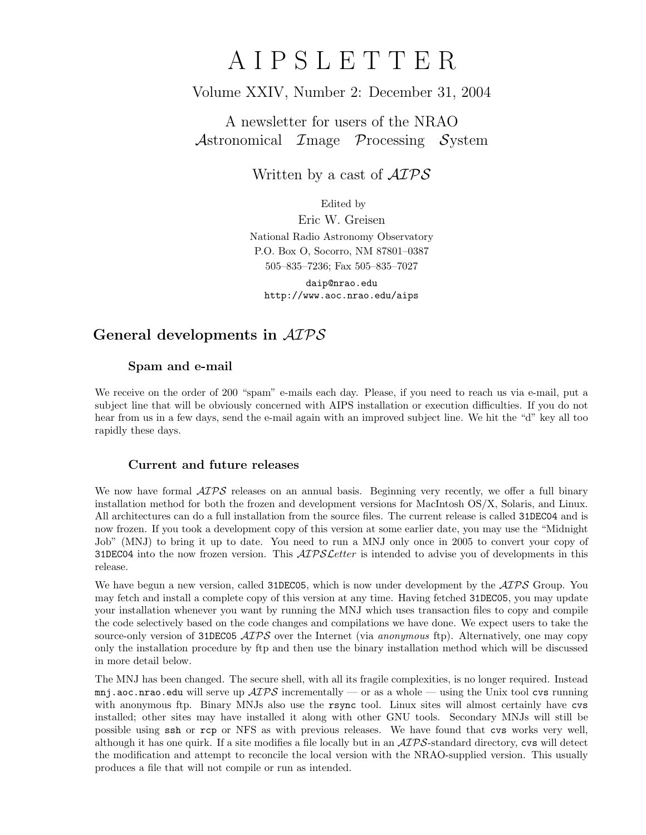# A I P S L E T T E R

# Volume XXIV, Number 2: December 31, 2004

## A newsletter for users of the NRAO Astronomical Image Processing System

Written by a cast of  $\mathcal{AIPS}$ 

Edited by

Eric W. Greisen National Radio Astronomy Observatory P.O. Box O, Socorro, NM 87801–0387 505–835–7236; Fax 505–835–7027

daip@nrao.edu http://www.aoc.nrao.edu/aips

## General developments in AIPS

### Spam and e-mail

We receive on the order of 200 "spam" e-mails each day. Please, if you need to reach us via e-mail, put a subject line that will be obviously concerned with AIPS installation or execution difficulties. If you do not hear from us in a few days, send the e-mail again with an improved subject line. We hit the "d" key all too rapidly these days.

### Current and future releases

We now have formal  $\mathcal{A} \mathcal{I} \mathcal{P} \mathcal{S}$  releases on an annual basis. Beginning very recently, we offer a full binary installation method for both the frozen and development versions for MacIntosh OS/X, Solaris, and Linux. All architectures can do a full installation from the source files. The current release is called 31DEC04 and is now frozen. If you took a development copy of this version at some earlier date, you may use the "Midnight Job" (MNJ) to bring it up to date. You need to run a MNJ only once in 2005 to convert your copy of 31DEC04 into the now frozen version. This  $\mathcal{A}TPS\mathcal{L}$  etter is intended to advise you of developments in this release.

We have begun a new version, called 31DEC05, which is now under development by the  $\mathcal{ATPS}$  Group. You may fetch and install a complete copy of this version at any time. Having fetched 31DEC05, you may update your installation whenever you want by running the MNJ which uses transaction files to copy and compile the code selectively based on the code changes and compilations we have done. We expect users to take the source-only version of 31DEC05  $\mathcal{AIPS}$  over the Internet (via anonymous ftp). Alternatively, one may copy only the installation procedure by ftp and then use the binary installation method which will be discussed in more detail below.

The MNJ has been changed. The secure shell, with all its fragile complexities, is no longer required. Instead mnj.aoc.nrao.edu will serve up  $\mathcal{AIPS}$  incrementally — or as a whole — using the Unix tool cvs running with anonymous ftp. Binary MNJs also use the rsync tool. Linux sites will almost certainly have cvs installed; other sites may have installed it along with other GNU tools. Secondary MNJs will still be possible using ssh or rcp or NFS as with previous releases. We have found that cvs works very well, although it has one quirk. If a site modifies a file locally but in an  $\mathcal{AIPS}\text{-}standard$  directory, cvs will detect the modification and attempt to reconcile the local version with the NRAO-supplied version. This usually produces a file that will not compile or run as intended.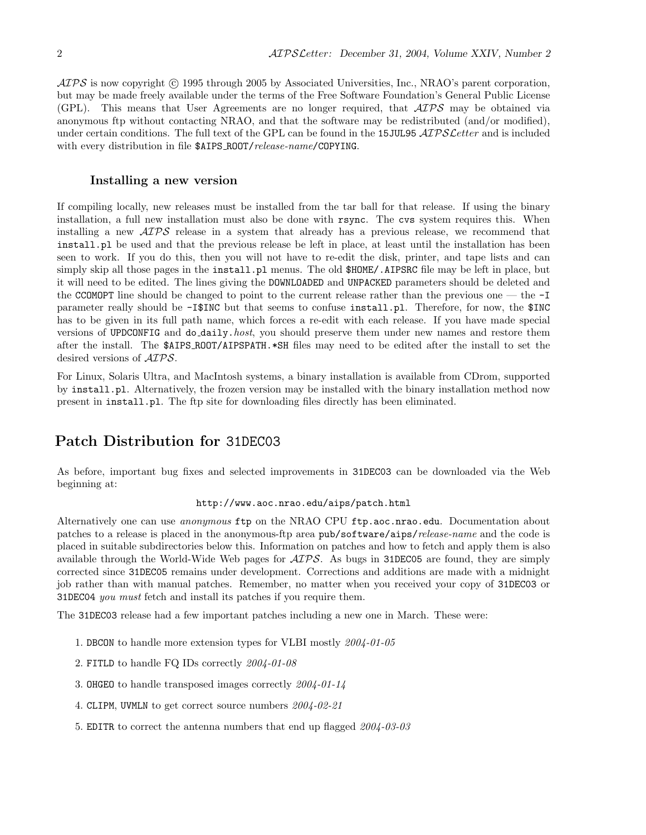$\langle \mathcal{A} \mathcal{P} \mathcal{S} \rangle$  is now copyright (c) 1995 through 2005 by Associated Universities, Inc., NRAO's parent corporation, but may be made freely available under the terms of the Free Software Foundation's General Public License (GPL). This means that User Agreements are no longer required, that AIPS may be obtained via anonymous ftp without contacting NRAO, and that the software may be redistributed (and/or modified), under certain conditions. The full text of the GPL can be found in the 15JUL95  $\mathcal{AIPS}\mathcal{L}etter$  and is included with every distribution in file \$AIPS\_ROOT/release-name/COPYING.

#### Installing a new version

If compiling locally, new releases must be installed from the tar ball for that release. If using the binary installation, a full new installation must also be done with rsync. The cvs system requires this. When installing a new AIPS release in a system that already has a previous release, we recommend that install.pl be used and that the previous release be left in place, at least until the installation has been seen to work. If you do this, then you will not have to re-edit the disk, printer, and tape lists and can simply skip all those pages in the install.pl menus. The old  $$HOME/$ .AIPSRC file may be left in place, but it will need to be edited. The lines giving the DOWNLOADED and UNPACKED parameters should be deleted and the CCOMOPT line should be changed to point to the current release rather than the previous one — the -I parameter really should be -I\$INC but that seems to confuse install.pl. Therefore, for now, the \$INC has to be given in its full path name, which forces a re-edit with each release. If you have made special versions of UPDCONFIG and do daily.host, you should preserve them under new names and restore them after the install. The \$AIPS ROOT/AIPSPATH.\*SH files may need to be edited after the install to set the desired versions of  $\mathcal{AIPS}$ .

For Linux, Solaris Ultra, and MacIntosh systems, a binary installation is available from CDrom, supported by install.pl. Alternatively, the frozen version may be installed with the binary installation method now present in install.pl. The ftp site for downloading files directly has been eliminated.

## Patch Distribution for 31DEC03

As before, important bug fixes and selected improvements in 31DEC03 can be downloaded via the Web beginning at:

#### http://www.aoc.nrao.edu/aips/patch.html

Alternatively one can use anonymous ftp on the NRAO CPU ftp.aoc.nrao.edu. Documentation about patches to a release is placed in the anonymous-ftp area pub/software/aips/release-name and the code is placed in suitable subdirectories below this. Information on patches and how to fetch and apply them is also available through the World-Wide Web pages for  $\mathcal{AIPS}$ . As bugs in 31DEC05 are found, they are simply corrected since 31DEC05 remains under development. Corrections and additions are made with a midnight job rather than with manual patches. Remember, no matter when you received your copy of 31DEC03 or 31DEC04 you must fetch and install its patches if you require them.

The 31DEC03 release had a few important patches including a new one in March. These were:

- 1. DBCON to handle more extension types for VLBI mostly 2004-01-05
- 2. FITLD to handle FQ IDs correctly 2004-01-08
- 3. OHGEO to handle transposed images correctly 2004-01-14
- 4. CLIPM, UVMLN to get correct source numbers 2004-02-21
- 5. EDITR to correct the antenna numbers that end up flagged 2004-03-03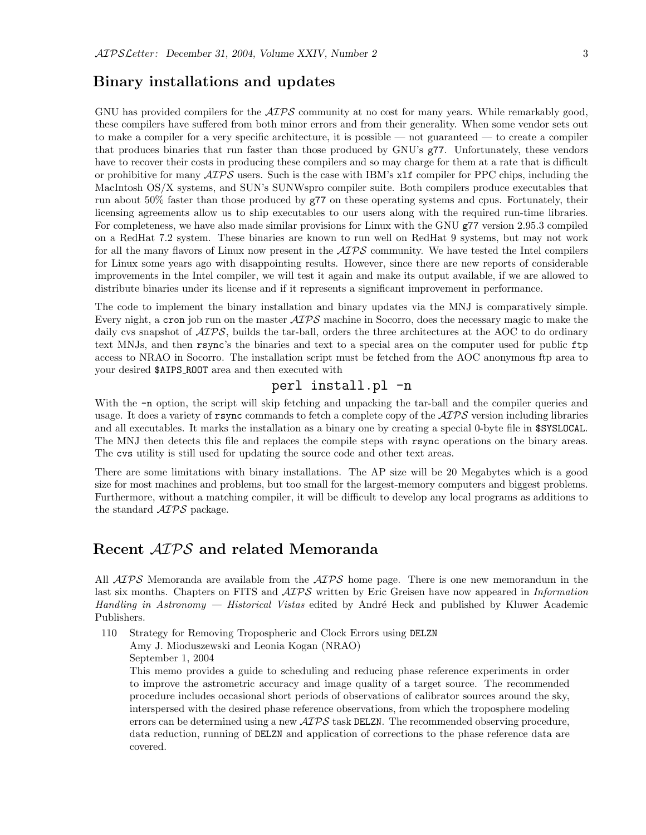## Binary installations and updates

GNU has provided compilers for the  $\mathcal{A} \mathcal{I} \mathcal{P} \mathcal{S}$  community at no cost for many years. While remarkably good, these compilers have suffered from both minor errors and from their generality. When some vendor sets out to make a compiler for a very specific architecture, it is possible — not guaranteed — to create a compiler that produces binaries that run faster than those produced by GNU's g77. Unfortunately, these vendors have to recover their costs in producing these compilers and so may charge for them at a rate that is difficult or prohibitive for many  $\mathcal{A}TPS$  users. Such is the case with IBM's xlf compiler for PPC chips, including the MacIntosh OS/X systems, and SUN's SUNWspro compiler suite. Both compilers produce executables that run about 50% faster than those produced by g77 on these operating systems and cpus. Fortunately, their licensing agreements allow us to ship executables to our users along with the required run-time libraries. For completeness, we have also made similar provisions for Linux with the GNU g77 version 2.95.3 compiled on a RedHat 7.2 system. These binaries are known to run well on RedHat 9 systems, but may not work for all the many flavors of Linux now present in the  $\mathcal{AIPS}$  community. We have tested the Intel compilers for Linux some years ago with disappointing results. However, since there are new reports of considerable improvements in the Intel compiler, we will test it again and make its output available, if we are allowed to distribute binaries under its license and if it represents a significant improvement in performance.

The code to implement the binary installation and binary updates via the MNJ is comparatively simple. Every night, a cron job run on the master  $\mathcal{AIPS}$  machine in Socorro, does the necessary magic to make the daily cvs snapshot of  $\mathcal{AIPS}$ , builds the tar-ball, orders the three architectures at the AOC to do ordinary text MNJs, and then rsync's the binaries and text to a special area on the computer used for public ftp access to NRAO in Socorro. The installation script must be fetched from the AOC anonymous ftp area to your desired \$AIPS ROOT area and then executed with

## perl install.pl -n

With the  $-n$  option, the script will skip fetching and unpacking the tar-ball and the compiler queries and usage. It does a variety of rsync commands to fetch a complete copy of the  $\mathcal{AIPS}$  version including libraries and all executables. It marks the installation as a binary one by creating a special 0-byte file in \$SYSLOCAL. The MNJ then detects this file and replaces the compile steps with rsync operations on the binary areas. The cvs utility is still used for updating the source code and other text areas.

There are some limitations with binary installations. The AP size will be 20 Megabytes which is a good size for most machines and problems, but too small for the largest-memory computers and biggest problems. Furthermore, without a matching compiler, it will be difficult to develop any local programs as additions to the standard  $ATPS$  package.

## Recent AIPS and related Memoranda

All  $ATPS$  Memoranda are available from the  $ATPS$  home page. There is one new memorandum in the last six months. Chapters on FITS and  $\mathcal{AIPS}$  written by Eric Greisen have now appeared in Information Handling in Astronomy — Historical Vistas edited by André Heck and published by Kluwer Academic Publishers.

- 110 Strategy for Removing Tropospheric and Clock Errors using DELZN
	- Amy J. Mioduszewski and Leonia Kogan (NRAO)

September 1, 2004

This memo provides a guide to scheduling and reducing phase reference experiments in order to improve the astrometric accuracy and image quality of a target source. The recommended procedure includes occasional short periods of observations of calibrator sources around the sky, interspersed with the desired phase reference observations, from which the troposphere modeling errors can be determined using a new  $\mathcal{AIPS}$  task DELZN. The recommended observing procedure, data reduction, running of DELZN and application of corrections to the phase reference data are covered.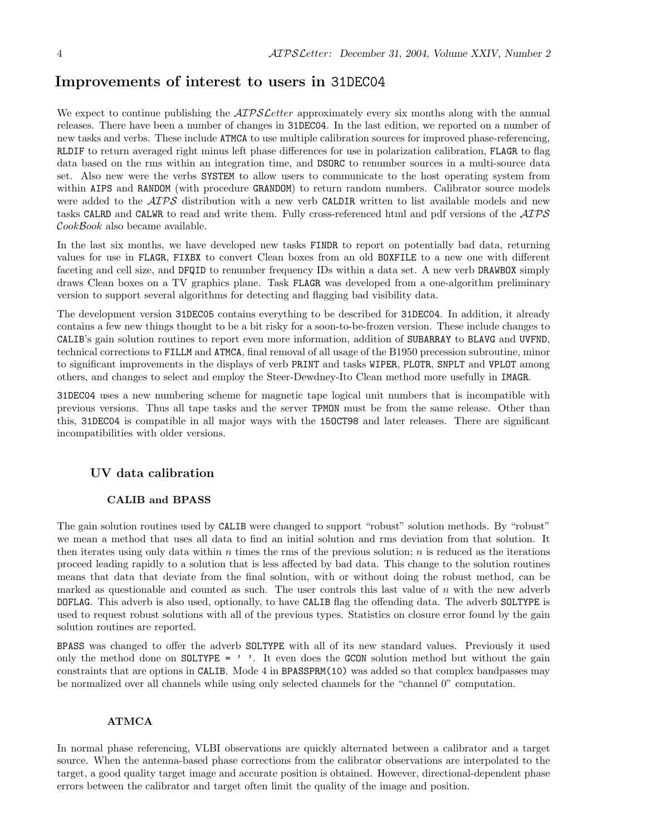## Improvements of interest to users in 31DEC04

We expect to continue publishing the *AIPS Letter* approximately every six months along with the annual releases. There have been a number of changes in 31DEC04. In the last edition, we reported on a number of new tasks and verbs. These include ATMCA to use multiple calibration sources for improved phase-referencing, RLDIF to return averaged right minus left phase differences for use in polarization calibration, FLAGR to flag data based on the rms within an integration time, and DSORC to renumber sources in a multi-source data set. Also new were the verbs SYSTEM to allow users to communicate to the host operating system from within AIPS and RANDOM (with procedure GRANDOM) to return random numbers. Calibrator source models were added to the  $AIPS$  distribution with a new verb CALDIR written to list available models and new tasks CALRD and CALWR to read and write them. Fully cross-referenced html and pdf versions of the AIPS  $CookBook$  also became available.

In the last six months, we have developed new tasks FINDR to report on potentially bad data, returning values for use in FLAGR, FIXBX to convert Clean boxes from an old BOXFILE to a new one with different faceting and cell size, and DFQID to renumber frequency IDs within a data set. A new verb DRAWBOX simply draws Clean boxes on a TV graphics plane. Task FLAGR was developed from a one-algorithm preliminary version to support several algorithms for detecting and flagging bad visibility data.

The development version 31DEC05 contains everything to be described for 31DEC04. In addition, it already contains a few new things thought to be a bit risky for a soon-to-be-frozen version. These include changes to CALIB's gain solution routines to report even more information, addition of SUBARRAY to BLAVG and UVFND, technical corrections to FILLM and ATMCA, final removal of all usage of the B1950 precession subroutine, minor to significant improvements in the displays of verb PRINT and tasks WIPER, PLOTR, SNPLT and VPLOT among others, and changes to select and employ the Steer-Dewdney-Ito Clean method more usefully in IMAGR.

31DEC04 uses a new numbering scheme for magnetic tape logical unit numbers that is incompatible with previous versions. Thus all tape tasks and the server TPMON must be from the same release. Other than this, 31DEC04 is compatible in all major ways with the 15OCT98 and later releases. There are significant incompatibilities with older versions.

#### UV data calibration

#### CALIB and BPASS

The gain solution routines used by CALIB were changed to support "robust" solution methods. By "robust" we mean a method that uses all data to find an initial solution and rms deviation from that solution. It then iterates using only data within  $n$  times the rms of the previous solution;  $n$  is reduced as the iterations proceed leading rapidly to a solution that is less affected by bad data. This change to the solution routines means that data that deviate from the final solution, with or without doing the robust method, can be marked as questionable and counted as such. The user controls this last value of  $n$  with the new adverb DOFLAG. This adverb is also used, optionally, to have CALIB flag the offending data. The adverb SOLTYPE is used to request robust solutions with all of the previous types. Statistics on closure error found by the gain solution routines are reported.

BPASS was changed to offer the adverb SOLTYPE with all of its new standard values. Previously it used only the method done on SOLTYPE =  $'$ . It even does the GCON solution method but without the gain constraints that are options in CALIB. Mode 4 in BPASSPRM(10) was added so that complex bandpasses may be normalized over all channels while using only selected channels for the "channel 0" computation.

#### ATMCA

In normal phase referencing, VLBI observations are quickly alternated between a calibrator and a target source. When the antenna-based phase corrections from the calibrator observations are interpolated to the target, a good quality target image and accurate position is obtained. However, directional-dependent phase errors between the calibrator and target often limit the quality of the image and position.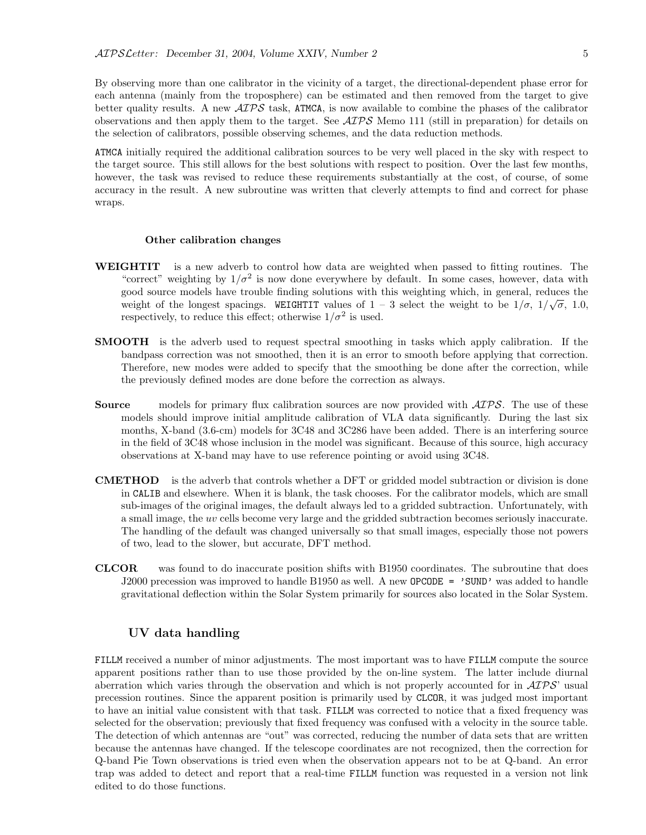By observing more than one calibrator in the vicinity of a target, the directional-dependent phase error for each antenna (mainly from the troposphere) can be estimated and then removed from the target to give better quality results. A new  $\mathcal{AIPS}$  task, ATMCA, is now available to combine the phases of the calibrator observations and then apply them to the target. See  $\mathcal{ATPS}$  Memo 111 (still in preparation) for details on the selection of calibrators, possible observing schemes, and the data reduction methods.

ATMCA initially required the additional calibration sources to be very well placed in the sky with respect to the target source. This still allows for the best solutions with respect to position. Over the last few months, however, the task was revised to reduce these requirements substantially at the cost, of course, of some accuracy in the result. A new subroutine was written that cleverly attempts to find and correct for phase wraps.

#### Other calibration changes

- WEIGHTIT is a new adverb to control how data are weighted when passed to fitting routines. The "correct" weighting by  $1/\sigma^2$  is now done everywhere by default. In some cases, however, data with good source models have trouble finding solutions with this weighting which, in general, reduces the weight of the longest spacings. WEIGHTIT values of  $1-3$  select the weight to be  $1/\sigma$ ,  $1/\sqrt{\sigma}$ , 1.0, respectively, to reduce this effect; otherwise  $1/\sigma^2$  is used.
- SMOOTH is the adverb used to request spectral smoothing in tasks which apply calibration. If the bandpass correction was not smoothed, then it is an error to smooth before applying that correction. Therefore, new modes were added to specify that the smoothing be done after the correction, while the previously defined modes are done before the correction as always.
- **Source** models for primary flux calibration sources are now provided with  $\mathcal{AIPS}$ . The use of these models should improve initial amplitude calibration of VLA data significantly. During the last six months, X-band (3.6-cm) models for 3C48 and 3C286 have been added. There is an interfering source in the field of 3C48 whose inclusion in the model was significant. Because of this source, high accuracy observations at X-band may have to use reference pointing or avoid using 3C48.
- CMETHOD is the adverb that controls whether a DFT or gridded model subtraction or division is done in CALIB and elsewhere. When it is blank, the task chooses. For the calibrator models, which are small sub-images of the original images, the default always led to a gridded subtraction. Unfortunately, with a small image, the uv cells become very large and the gridded subtraction becomes seriously inaccurate. The handling of the default was changed universally so that small images, especially those not powers of two, lead to the slower, but accurate, DFT method.
- CLCOR was found to do inaccurate position shifts with B1950 coordinates. The subroutine that does J2000 precession was improved to handle B1950 as well. A new OPCODE = 'SUND' was added to handle gravitational deflection within the Solar System primarily for sources also located in the Solar System.

#### UV data handling

FILLM received a number of minor adjustments. The most important was to have FILLM compute the source apparent positions rather than to use those provided by the on-line system. The latter include diurnal aberration which varies through the observation and which is not properly accounted for in  $\mathcal{AIPS}'$  usual precession routines. Since the apparent position is primarily used by CLCOR, it was judged most important to have an initial value consistent with that task. FILLM was corrected to notice that a fixed frequency was selected for the observation; previously that fixed frequency was confused with a velocity in the source table. The detection of which antennas are "out" was corrected, reducing the number of data sets that are written because the antennas have changed. If the telescope coordinates are not recognized, then the correction for Q-band Pie Town observations is tried even when the observation appears not to be at Q-band. An error trap was added to detect and report that a real-time FILLM function was requested in a version not link edited to do those functions.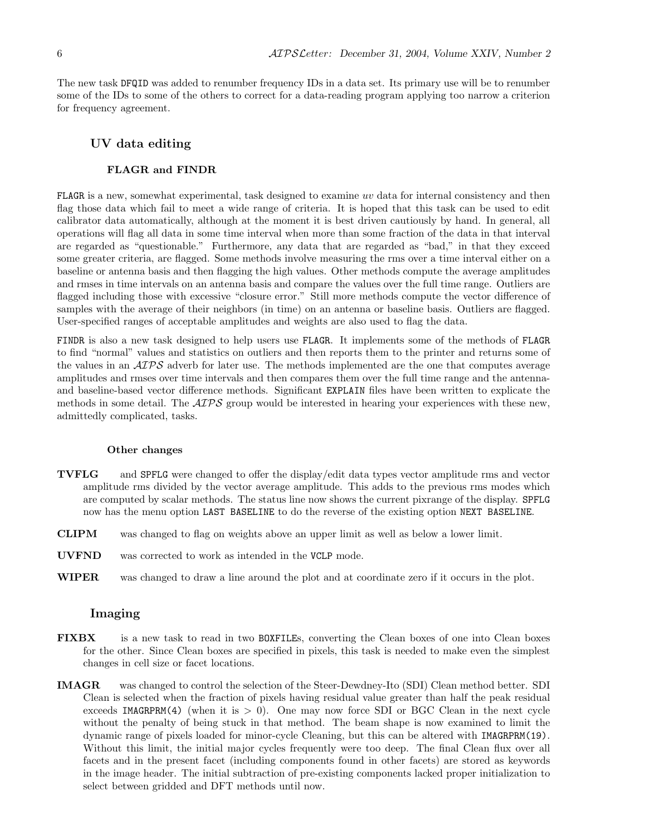The new task DFQID was added to renumber frequency IDs in a data set. Its primary use will be to renumber some of the IDs to some of the others to correct for a data-reading program applying too narrow a criterion for frequency agreement.

#### UV data editing

#### FLAGR and FINDR

FLAGR is a new, somewhat experimental, task designed to examine uv data for internal consistency and then flag those data which fail to meet a wide range of criteria. It is hoped that this task can be used to edit calibrator data automatically, although at the moment it is best driven cautiously by hand. In general, all operations will flag all data in some time interval when more than some fraction of the data in that interval are regarded as "questionable." Furthermore, any data that are regarded as "bad," in that they exceed some greater criteria, are flagged. Some methods involve measuring the rms over a time interval either on a baseline or antenna basis and then flagging the high values. Other methods compute the average amplitudes and rmses in time intervals on an antenna basis and compare the values over the full time range. Outliers are flagged including those with excessive "closure error." Still more methods compute the vector difference of samples with the average of their neighbors (in time) on an antenna or baseline basis. Outliers are flagged. User-specified ranges of acceptable amplitudes and weights are also used to flag the data.

FINDR is also a new task designed to help users use FLAGR. It implements some of the methods of FLAGR to find "normal" values and statistics on outliers and then reports them to the printer and returns some of the values in an  $\mathcal{AIPS}$  adverb for later use. The methods implemented are the one that computes average amplitudes and rmses over time intervals and then compares them over the full time range and the antennaand baseline-based vector difference methods. Significant EXPLAIN files have been written to explicate the methods in some detail. The  $\mathcal{A} \mathcal{I} \mathcal{P} \mathcal{S}$  group would be interested in hearing your experiences with these new, admittedly complicated, tasks.

#### Other changes

- TVFLG and SPFLG were changed to offer the display/edit data types vector amplitude rms and vector amplitude rms divided by the vector average amplitude. This adds to the previous rms modes which are computed by scalar methods. The status line now shows the current pixrange of the display. SPFLG now has the menu option LAST BASELINE to do the reverse of the existing option NEXT BASELINE.
- CLIPM was changed to flag on weights above an upper limit as well as below a lower limit.
- UVFND was corrected to work as intended in the VCLP mode.
- WIPER was changed to draw a line around the plot and at coordinate zero if it occurs in the plot.

#### Imaging

- FIXBX is a new task to read in two BOXFILEs, converting the Clean boxes of one into Clean boxes for the other. Since Clean boxes are specified in pixels, this task is needed to make even the simplest changes in cell size or facet locations.
- IMAGR was changed to control the selection of the Steer-Dewdney-Ito (SDI) Clean method better. SDI Clean is selected when the fraction of pixels having residual value greater than half the peak residual exceeds IMAGRPRM(4) (when it is  $> 0$ ). One may now force SDI or BGC Clean in the next cycle without the penalty of being stuck in that method. The beam shape is now examined to limit the dynamic range of pixels loaded for minor-cycle Cleaning, but this can be altered with IMAGRPRM(19). Without this limit, the initial major cycles frequently were too deep. The final Clean flux over all facets and in the present facet (including components found in other facets) are stored as keywords in the image header. The initial subtraction of pre-existing components lacked proper initialization to select between gridded and DFT methods until now.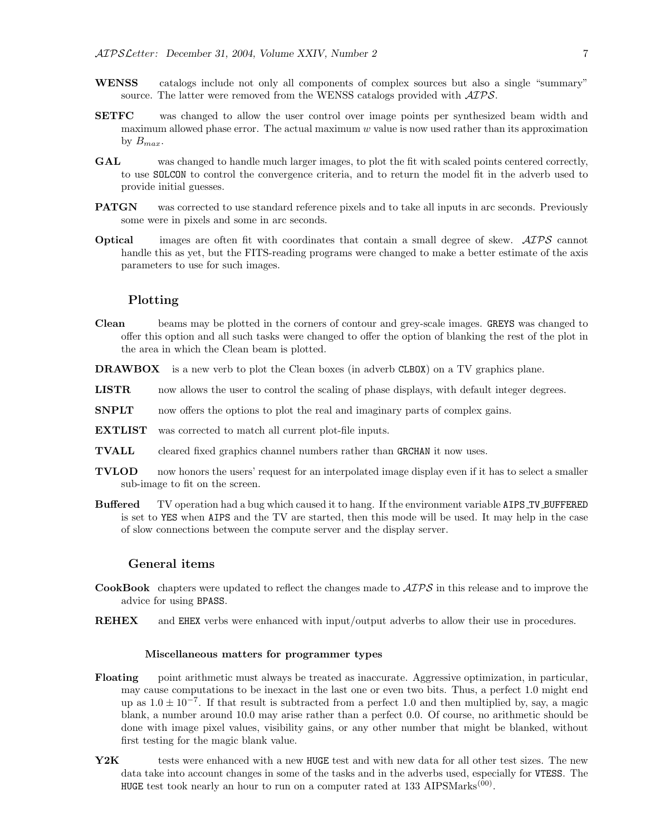- WENSS catalogs include not only all components of complex sources but also a single "summary" source. The latter were removed from the WENSS catalogs provided with  $\mathcal{AIPS}$ .
- SETFC was changed to allow the user control over image points per synthesized beam width and maximum allowed phase error. The actual maximum  $w$  value is now used rather than its approximation by  $B_{max}$ .
- GAL was changed to handle much larger images, to plot the fit with scaled points centered correctly, to use SOLCON to control the convergence criteria, and to return the model fit in the adverb used to provide initial guesses.
- **PATGN** was corrected to use standard reference pixels and to take all inputs in arc seconds. Previously some were in pixels and some in arc seconds.
- Optical images are often fit with coordinates that contain a small degree of skew.  $\mathcal{AIPS}$  cannot handle this as yet, but the FITS-reading programs were changed to make a better estimate of the axis parameters to use for such images.

#### Plotting

- Clean beams may be plotted in the corners of contour and grey-scale images. GREYS was changed to offer this option and all such tasks were changed to offer the option of blanking the rest of the plot in the area in which the Clean beam is plotted.
- DRAWBOX is a new verb to plot the Clean boxes (in adverb CLBOX) on a TV graphics plane.
- LISTR now allows the user to control the scaling of phase displays, with default integer degrees.
- **SNPLT** now offers the options to plot the real and imaginary parts of complex gains.
- EXTLIST was corrected to match all current plot-file inputs.
- TVALL cleared fixed graphics channel numbers rather than GRCHAN it now uses.
- TVLOD now honors the users' request for an interpolated image display even if it has to select a smaller sub-image to fit on the screen.
- Buffered TV operation had a bug which caused it to hang. If the environment variable AIPS TV BUFFERED is set to YES when AIPS and the TV are started, then this mode will be used. It may help in the case of slow connections between the compute server and the display server.

#### General items

- **CookBook** chapters were updated to reflect the changes made to  $\mathcal{AIPS}$  in this release and to improve the advice for using BPASS.
- REHEX and EHEX verbs were enhanced with input/output adverbs to allow their use in procedures.

#### Miscellaneous matters for programmer types

- Floating point arithmetic must always be treated as inaccurate. Aggressive optimization, in particular, may cause computations to be inexact in the last one or even two bits. Thus, a perfect 1.0 might end up as  $1.0 \pm 10^{-7}$ . If that result is subtracted from a perfect 1.0 and then multiplied by, say, a magic blank, a number around 10.0 may arise rather than a perfect 0.0. Of course, no arithmetic should be done with image pixel values, visibility gains, or any other number that might be blanked, without first testing for the magic blank value.
- Y2K tests were enhanced with a new HUGE test and with new data for all other test sizes. The new data take into account changes in some of the tasks and in the adverbs used, especially for VTESS. The HUGE test took nearly an hour to run on a computer rated at 133 AIPSMarks<sup>(00)</sup>.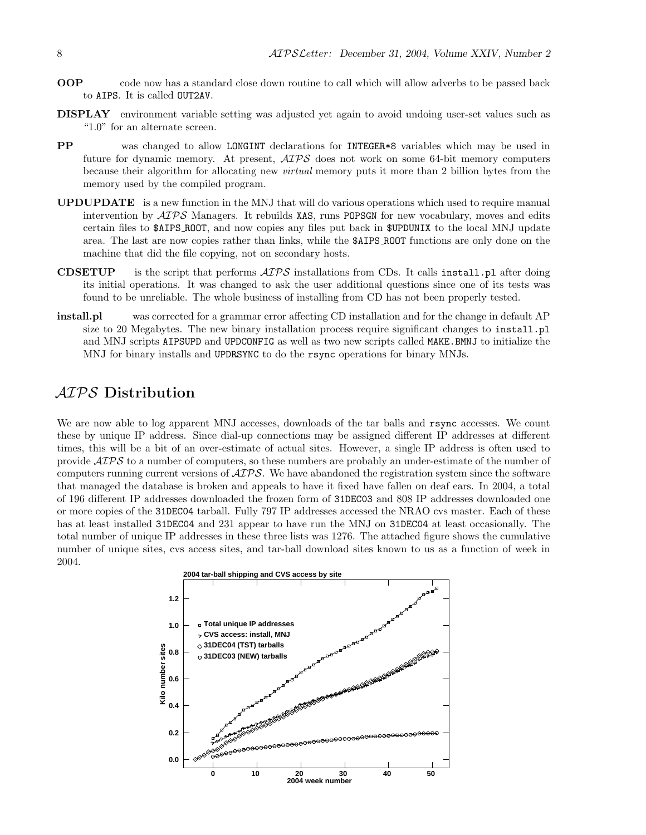- OOP code now has a standard close down routine to call which will allow adverbs to be passed back to AIPS. It is called OUT2AV.
- DISPLAY environment variable setting was adjusted yet again to avoid undoing user-set values such as "1.0" for an alternate screen.
- PP was changed to allow LONGINT declarations for INTEGER\*8 variables which may be used in future for dynamic memory. At present,  $\mathcal{AIPS}$  does not work on some 64-bit memory computers because their algorithm for allocating new virtual memory puts it more than 2 billion bytes from the memory used by the compiled program.
- UPDUPDATE is a new function in the MNJ that will do various operations which used to require manual intervention by  $\mathcal{A} \mathcal{I} \mathcal{P} \mathcal{S}$  Managers. It rebuilds XAS, runs POPSGN for new vocabulary, moves and edits certain files to \$AIPS ROOT, and now copies any files put back in \$UPDUNIX to the local MNJ update area. The last are now copies rather than links, while the \$AIPS ROOT functions are only done on the machine that did the file copying, not on secondary hosts.
- **CDSETUP** is the script that performs  $\mathcal{A} \mathcal{I} \mathcal{P} \mathcal{S}$  installations from CDs. It calls install.pl after doing its initial operations. It was changed to ask the user additional questions since one of its tests was found to be unreliable. The whole business of installing from CD has not been properly tested.
- install.pl was corrected for a grammar error affecting CD installation and for the change in default AP size to 20 Megabytes. The new binary installation process require significant changes to install.pl and MNJ scripts AIPSUPD and UPDCONFIG as well as two new scripts called MAKE.BMNJ to initialize the MNJ for binary installs and UPDRSYNC to do the rsync operations for binary MNJs.

## AIPS Distribution

We are now able to log apparent MNJ accesses, downloads of the tar balls and rsync accesses. We count these by unique IP address. Since dial-up connections may be assigned different IP addresses at different times, this will be a bit of an over-estimate of actual sites. However, a single IP address is often used to provide AIPS to a number of computers, so these numbers are probably an under-estimate of the number of computers running current versions of AIPS. We have abandoned the registration system since the software that managed the database is broken and appeals to have it fixed have fallen on deaf ears. In 2004, a total of 196 different IP addresses downloaded the frozen form of 31DEC03 and 808 IP addresses downloaded one or more copies of the 31DEC04 tarball. Fully 797 IP addresses accessed the NRAO cvs master. Each of these has at least installed 31DEC04 and 231 appear to have run the MNJ on 31DEC04 at least occasionally. The total number of unique IP addresses in these three lists was 1276. The attached figure shows the cumulative number of unique sites, cvs access sites, and tar-ball download sites known to us as a function of week in 2004.

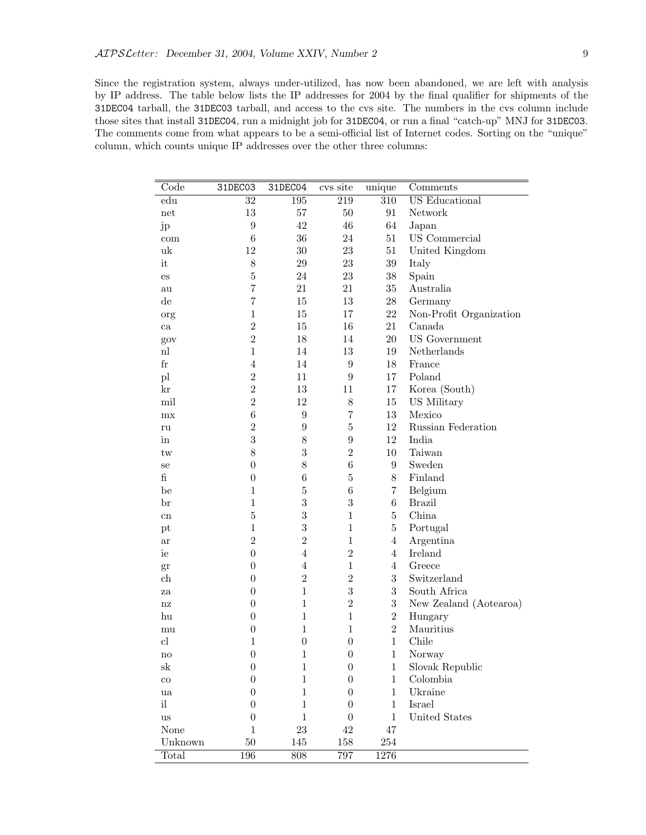Since the registration system, always under-utilized, has now been abandoned, we are left with analysis by IP address. The table below lists the IP addresses for 2004 by the final qualifier for shipments of the 31DEC04 tarball, the 31DEC03 tarball, and access to the cvs site. The numbers in the cvs column include those sites that install 31DEC04, run a midnight job for 31DEC04, or run a final "catch-up" MNJ for 31DEC03. The comments come from what appears to be a semi-official list of Internet codes. Sorting on the "unique" column, which counts unique IP addresses over the other three columns:

| Code                       | 31DEC03          | 31DEC04          | cvs site         | unique           | Comments                |
|----------------------------|------------------|------------------|------------------|------------------|-------------------------|
| edu                        | 32               | 195              | 219              | 310              | <b>US</b> Educational   |
| $\operatorname{net}$       | 13               | $57\,$           | $50\,$           | 91               | Network                 |
| jp                         | $\boldsymbol{9}$ | 42               | $46\,$           | 64               | Japan                   |
| com                        | $\,6$            | 36               | 24               | 51               | US Commercial           |
| uk                         | 12               | $30\,$           | $23\,$           | 51               | United Kingdom          |
| it                         | 8                | $\,29$           | $23\,$           | $39\,$           | Italy                   |
| $\mathop{\mathrm{es}}$     | $\overline{5}$   | 24               | $23\,$           | $38\,$           | Spain                   |
| au                         | $\overline{7}$   | 21               | 21               | $35\,$           | Australia               |
| $\mathrm{d}\mathrm{e}$     | $\overline{7}$   | $15\,$           | $13\,$           | $28\,$           | Germany                 |
| org                        | $\overline{1}$   | 15               | 17               | 22               | Non-Profit Organization |
| ca                         | $\overline{2}$   | 15               | $16\,$           | 21               | Canada                  |
| gov                        | $\overline{2}$   | 18               | 14               | 20               | <b>US</b> Government    |
| $\mathbf{nl}$              | $\overline{1}$   | 14               | 13               | 19               | Netherlands             |
| $_{\rm fr}$                | $\overline{4}$   | 14               | $\boldsymbol{9}$ | 18               | France                  |
| pl                         | $\overline{2}$   | 11               | $\boldsymbol{9}$ | 17               | Poland                  |
| kr                         | $\overline{2}$   | 13               | 11               | 17               | Korea (South)           |
| mil                        | $\overline{2}$   | 12               | $8\,$            | 15               | US Military             |
| mx                         | $\,6$            | $\boldsymbol{9}$ | $\overline{7}$   | 13               | Mexico                  |
| ru                         | $\overline{2}$   | $\boldsymbol{9}$ | $\overline{5}$   | 12               | Russian Federation      |
| in                         | 3                | $8\,$            | $\boldsymbol{9}$ | 12               | India                   |
| tw                         | 8                | 3                | $\overline{2}$   | 10               | Taiwan                  |
| se                         | $\boldsymbol{0}$ | 8                | $\,6$            | $\boldsymbol{9}$ | Sweden                  |
| $\mathbf f$                | $\boldsymbol{0}$ | $\,6$            | $\overline{5}$   | 8                | Finland                 |
| be                         | $\mathbf 1$      | $\bf 5$          | $\,6$            | 7                | Belgium                 |
| br                         | $\mathbf{1}$     | 3                | 3                | $\,6\,$          | <b>Brazil</b>           |
| ${\rm cn}$                 | $\overline{5}$   | 3                | $\mathbf{1}$     | $\overline{5}$   | China                   |
| pt                         | $\mathbf{1}$     | 3                | $\mathbf{1}$     | $\overline{5}$   | Portugal                |
| ar                         | $\overline{2}$   | $\overline{2}$   | $\mathbf{1}$     | $\overline{4}$   | Argentina               |
| ie                         | $\boldsymbol{0}$ | $\overline{4}$   | $\overline{2}$   | $\overline{4}$   | <b>Ireland</b>          |
| gr                         | $\boldsymbol{0}$ | $\overline{4}$   | $\mathbf{1}$     | $\overline{4}$   | Greece                  |
| ch                         | $\boldsymbol{0}$ | $\sqrt{2}$       | $\overline{2}$   | 3                | Switzerland             |
| za                         | $\boldsymbol{0}$ | $\mathbf{1}$     | 3                | $\boldsymbol{3}$ | South Africa            |
| $\operatorname{nz}$        | $\boldsymbol{0}$ | $\mathbf{1}$     | $\overline{2}$   | $\boldsymbol{3}$ | New Zealand (Aotearoa)  |
| hu                         | $\boldsymbol{0}$ | $\mathbf{1}$     | $\mathbf{1}$     | $\overline{2}$   | Hungary                 |
| mu                         | $\boldsymbol{0}$ | $\mathbf{1}$     | $\mathbf{1}$     | $\overline{2}$   | Mauritius               |
| cl                         | $\mathbf{1}$     | $\boldsymbol{0}$ | $\boldsymbol{0}$ | $\mathbf{1}$     | Chile                   |
| $\mathop{\rm no}\nolimits$ | $\boldsymbol{0}$ | $\,1$            | $\boldsymbol{0}$ | $\mathbf{1}$     | Norway                  |
| $_{\rm sk}$                | $\boldsymbol{0}$ | $\mathbf{1}$     | $\boldsymbol{0}$ | $\mathbf{1}$     | Slovak Republic         |
| $_{\rm co}$                | $\boldsymbol{0}$ | $\mathbf{1}$     | $\overline{0}$   | $\mathbf{1}$     | Colombia                |
| ua                         | $\boldsymbol{0}$ | $\mathbf{1}$     | 0                | $\mathbf{1}$     | Ukraine                 |
| il                         | $\overline{0}$   | $\mathbf{1}$     | 0                | $\mathbf{1}$     | Israel                  |
| $\,u\mathrm{s}$            | $\overline{0}$   | $\,1\,$          | 0                | $\mathbf{1}$     | United States           |
| None                       | $\mathbf{1}$     | 23               | 42               | 47               |                         |
| Unknown                    | 50               | 145              | 158              | $254\,$          |                         |
| Total                      | 196              | 808              | 797              | 1276             |                         |